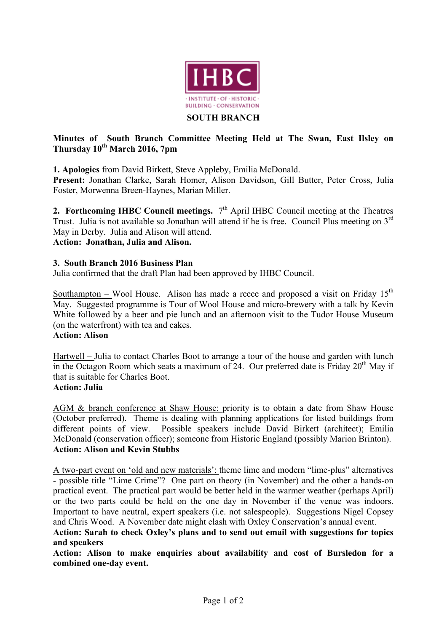

#### **SOUTH BRANCH**

## **Minutes of South Branch Committee Meeting Held at The Swan, East Ilsley on Thursday 10th March 2016, 7pm**

**1. Apologies** from David Birkett, Steve Appleby, Emilia McDonald.

**Present:** Jonathan Clarke, Sarah Homer, Alison Davidson, Gill Butter, Peter Cross, Julia Foster, Morwenna Breen-Haynes, Marian Miller.

**2. Forthcoming IHBC Council meetings.**  $7<sup>th</sup>$  April IHBC Council meeting at the Theatres Trust. Julia is not available so Jonathan will attend if he is free. Council Plus meeting on 3<sup>rd</sup> May in Derby. Julia and Alison will attend.

**Action: Jonathan, Julia and Alison.**

### **3. South Branch 2016 Business Plan**

Julia confirmed that the draft Plan had been approved by IHBC Council.

Southampton – Wool House. Alison has made a recce and proposed a visit on Friday  $15<sup>th</sup>$ May. Suggested programme is Tour of Wool House and micro-brewery with a talk by Kevin White followed by a beer and pie lunch and an afternoon visit to the Tudor House Museum (on the waterfront) with tea and cakes.

### **Action: Alison**

Hartwell – Julia to contact Charles Boot to arrange a tour of the house and garden with lunch in the Octagon Room which seats a maximum of 24. Our preferred date is Friday  $20<sup>th</sup>$  May if that is suitable for Charles Boot.

## **Action: Julia**

AGM & branch conference at Shaw House: priority is to obtain a date from Shaw House (October preferred). Theme is dealing with planning applications for listed buildings from different points of view. Possible speakers include David Birkett (architect); Emilia McDonald (conservation officer); someone from Historic England (possibly Marion Brinton). **Action: Alison and Kevin Stubbs**

A two-part event on 'old and new materials': theme lime and modern "lime-plus" alternatives - possible title "Lime Crime"? One part on theory (in November) and the other a hands-on practical event. The practical part would be better held in the warmer weather (perhaps April) or the two parts could be held on the one day in November if the venue was indoors. Important to have neutral, expert speakers (i.e. not salespeople). Suggestions Nigel Copsey and Chris Wood. A November date might clash with Oxley Conservation's annual event.

**Action: Sarah to check Oxley's plans and to send out email with suggestions for topics and speakers**

**Action: Alison to make enquiries about availability and cost of Bursledon for a combined one-day event.**